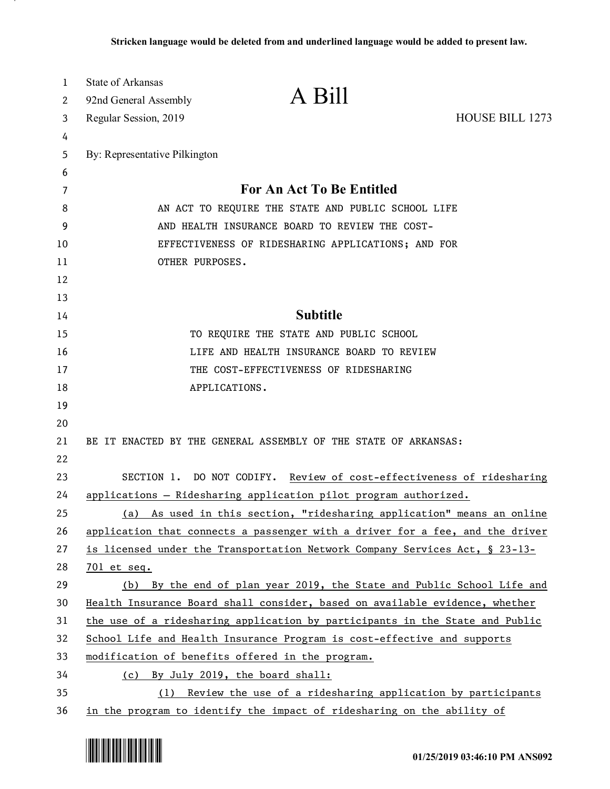| 1        | <b>State of Arkansas</b>                                              | A Bill                                                                                                                                                  |                        |
|----------|-----------------------------------------------------------------------|---------------------------------------------------------------------------------------------------------------------------------------------------------|------------------------|
| 2        | 92nd General Assembly                                                 |                                                                                                                                                         |                        |
| 3        | Regular Session, 2019                                                 |                                                                                                                                                         | <b>HOUSE BILL 1273</b> |
| 4        |                                                                       |                                                                                                                                                         |                        |
| 5        | By: Representative Pilkington                                         |                                                                                                                                                         |                        |
| 6        |                                                                       |                                                                                                                                                         |                        |
| 7        | For An Act To Be Entitled                                             |                                                                                                                                                         |                        |
| 8        | AN ACT TO REQUIRE THE STATE AND PUBLIC SCHOOL LIFE                    |                                                                                                                                                         |                        |
| 9        | AND HEALTH INSURANCE BOARD TO REVIEW THE COST-                        |                                                                                                                                                         |                        |
| 10       | EFFECTIVENESS OF RIDESHARING APPLICATIONS; AND FOR                    |                                                                                                                                                         |                        |
| 11       | OTHER PURPOSES.                                                       |                                                                                                                                                         |                        |
| 12       |                                                                       |                                                                                                                                                         |                        |
| 13       |                                                                       |                                                                                                                                                         |                        |
| 14       |                                                                       | <b>Subtitle</b>                                                                                                                                         |                        |
| 15       |                                                                       | TO REQUIRE THE STATE AND PUBLIC SCHOOL                                                                                                                  |                        |
| 16       |                                                                       | LIFE AND HEALTH INSURANCE BOARD TO REVIEW                                                                                                               |                        |
| 17       |                                                                       | THE COST-EFFECTIVENESS OF RIDESHARING                                                                                                                   |                        |
| 18       |                                                                       | APPLICATIONS.                                                                                                                                           |                        |
| 19       |                                                                       |                                                                                                                                                         |                        |
| 20       |                                                                       |                                                                                                                                                         |                        |
| 21       |                                                                       | BE IT ENACTED BY THE GENERAL ASSEMBLY OF THE STATE OF ARKANSAS:                                                                                         |                        |
| 22       |                                                                       |                                                                                                                                                         |                        |
| 23       | SECTION 1. DO NOT CODIFY. Review of cost-effectiveness of ridesharing |                                                                                                                                                         |                        |
| 24       |                                                                       | applications - Ridesharing application pilot program authorized.                                                                                        |                        |
| 25       | (a)                                                                   | As used in this section, "ridesharing application" means an online                                                                                      |                        |
| 26       |                                                                       | application that connects a passenger with a driver for a fee, and the driver                                                                           |                        |
| 27       |                                                                       | is licensed under the Transportation Network Company Services Act, § 23-13-                                                                             |                        |
| 28       | $701$ et seq.                                                         |                                                                                                                                                         |                        |
| 29       |                                                                       | (b) By the end of plan year 2019, the State and Public School Life and                                                                                  |                        |
| 30<br>31 |                                                                       | Health Insurance Board shall consider, based on available evidence, whether                                                                             |                        |
| 32       |                                                                       | the use of a ridesharing application by participants in the State and Public<br>School Life and Health Insurance Program is cost-effective and supports |                        |
| 33       |                                                                       | modification of benefits offered in the program.                                                                                                        |                        |
| 34       |                                                                       | (c) By July 2019, the board shall:                                                                                                                      |                        |
| 35       | (1)                                                                   | Review the use of a ridesharing application by participants                                                                                             |                        |
| 36       |                                                                       | in the program to identify the impact of ridesharing on the ability of                                                                                  |                        |